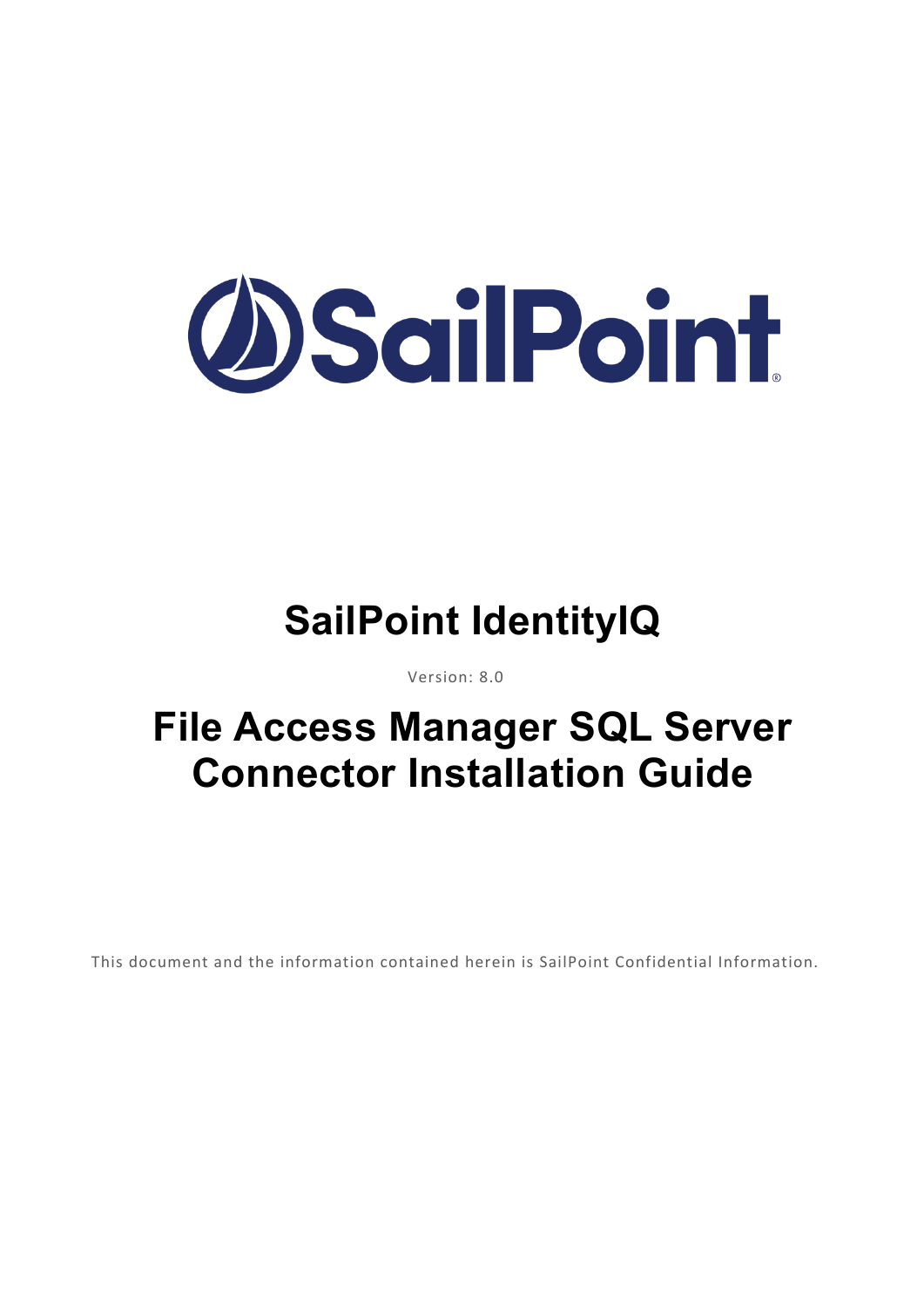

# **SailPoint IdentityIQ**

Version: 8.0

# **File Access Manager SQL Server Connector Installation Guide**

This document and the information contained herein is SailPoint Confidential Information.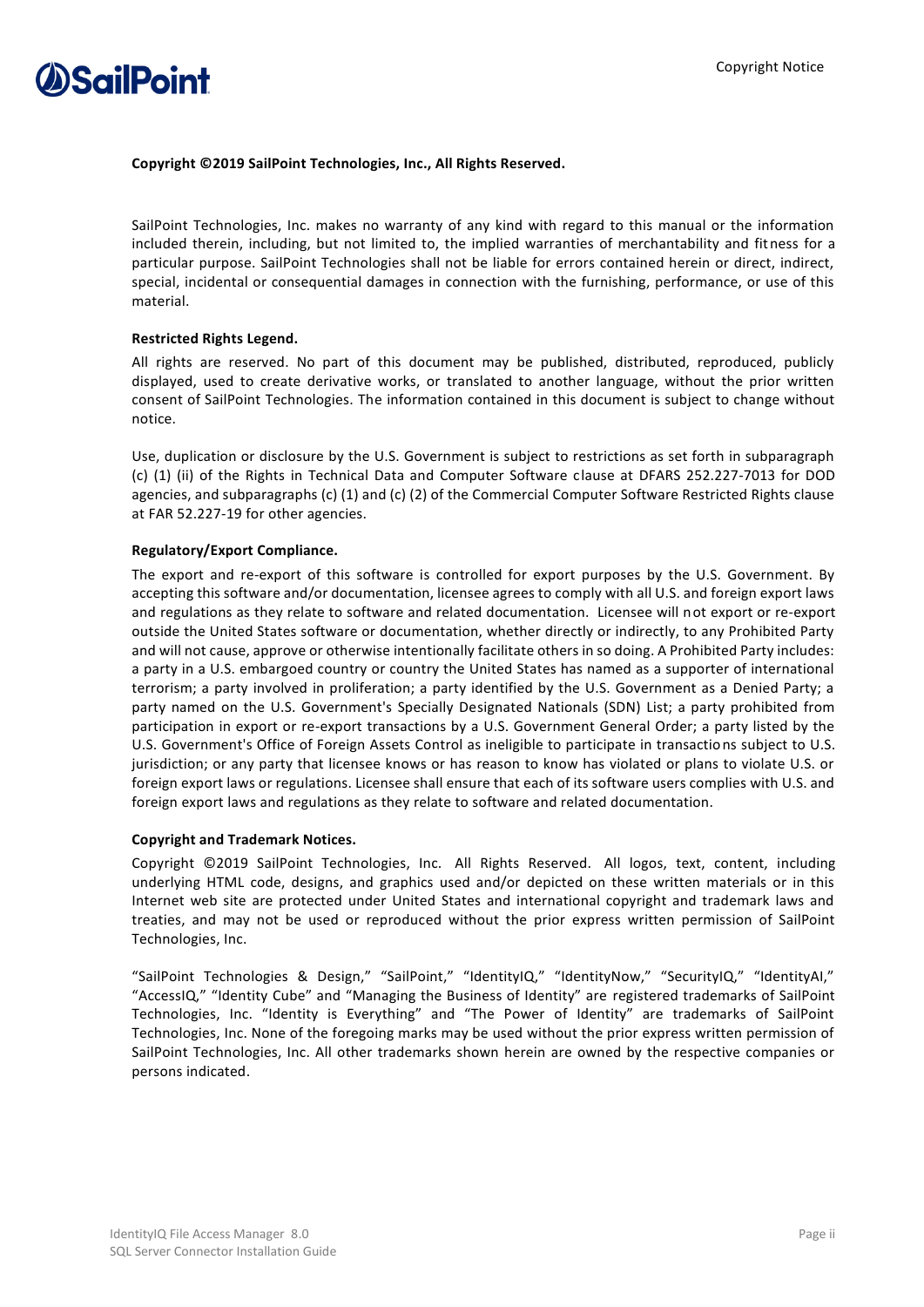

### **Copyright ©2019 SailPoint Technologies, Inc., All Rights Reserved.**

SailPoint Technologies, Inc. makes no warranty of any kind with regard to this manual or the information included therein, including, but not limited to, the implied warranties of merchantability and fitness for a particular purpose. SailPoint Technologies shall not be liable for errors contained herein or direct, indirect, special, incidental or consequential damages in connection with the furnishing, performance, or use of this material.

### **Restricted Rights Legend.**

All rights are reserved. No part of this document may be published, distributed, reproduced, publicly displayed, used to create derivative works, or translated to another language, without the prior written consent of SailPoint Technologies. The information contained in this document is subject to change without notice.

Use, duplication or disclosure by the U.S. Government is subject to restrictions as set forth in subparagraph (c) (1) (ii) of the Rights in Technical Data and Computer Software clause at DFARS 252.227-7013 for DOD agencies, and subparagraphs (c) (1) and (c) (2) of the Commercial Computer Software Restricted Rights clause at FAR 52.227-19 for other agencies.

### **Regulatory/Export Compliance.**

The export and re-export of this software is controlled for export purposes by the U.S. Government. By accepting this software and/or documentation, licensee agrees to comply with all U.S. and foreign export laws and regulations as they relate to software and related documentation. Licensee will not export or re-export outside the United States software or documentation, whether directly or indirectly, to any Prohibited Party and will not cause, approve or otherwise intentionally facilitate others in so doing. A Prohibited Party includes: a party in a U.S. embargoed country or country the United States has named as a supporter of international terrorism; a party involved in proliferation; a party identified by the U.S. Government as a Denied Party; a party named on the U.S. Government's Specially Designated Nationals (SDN) List; a party prohibited from participation in export or re-export transactions by a U.S. Government General Order; a party listed by the U.S. Government's Office of Foreign Assets Control as ineligible to participate in transactions subject to U.S. jurisdiction; or any party that licensee knows or has reason to know has violated or plans to violate U.S. or foreign export laws or regulations. Licensee shall ensure that each of its software users complies with U.S. and foreign export laws and regulations as they relate to software and related documentation.

### **Copyright and Trademark Notices.**

Copyright ©2019 SailPoint Technologies, Inc. All Rights Reserved. All logos, text, content, including underlying HTML code, designs, and graphics used and/or depicted on these written materials or in this Internet web site are protected under United States and international copyright and trademark laws and treaties, and may not be used or reproduced without the prior express written permission of SailPoint Technologies, Inc.

"SailPoint Technologies & Design," "SailPoint," "IdentityIQ," "IdentityNow," "SecurityIQ," "IdentityAI," "AccessIQ," "Identity Cube" and "Managing the Business of Identity" are registered trademarks of SailPoint Technologies, Inc. "Identity is Everything" and "The Power of Identity" are trademarks of SailPoint Technologies, Inc. None of the foregoing marks may be used without the prior express written permission of SailPoint Technologies, Inc. All other trademarks shown herein are owned by the respective companies or persons indicated.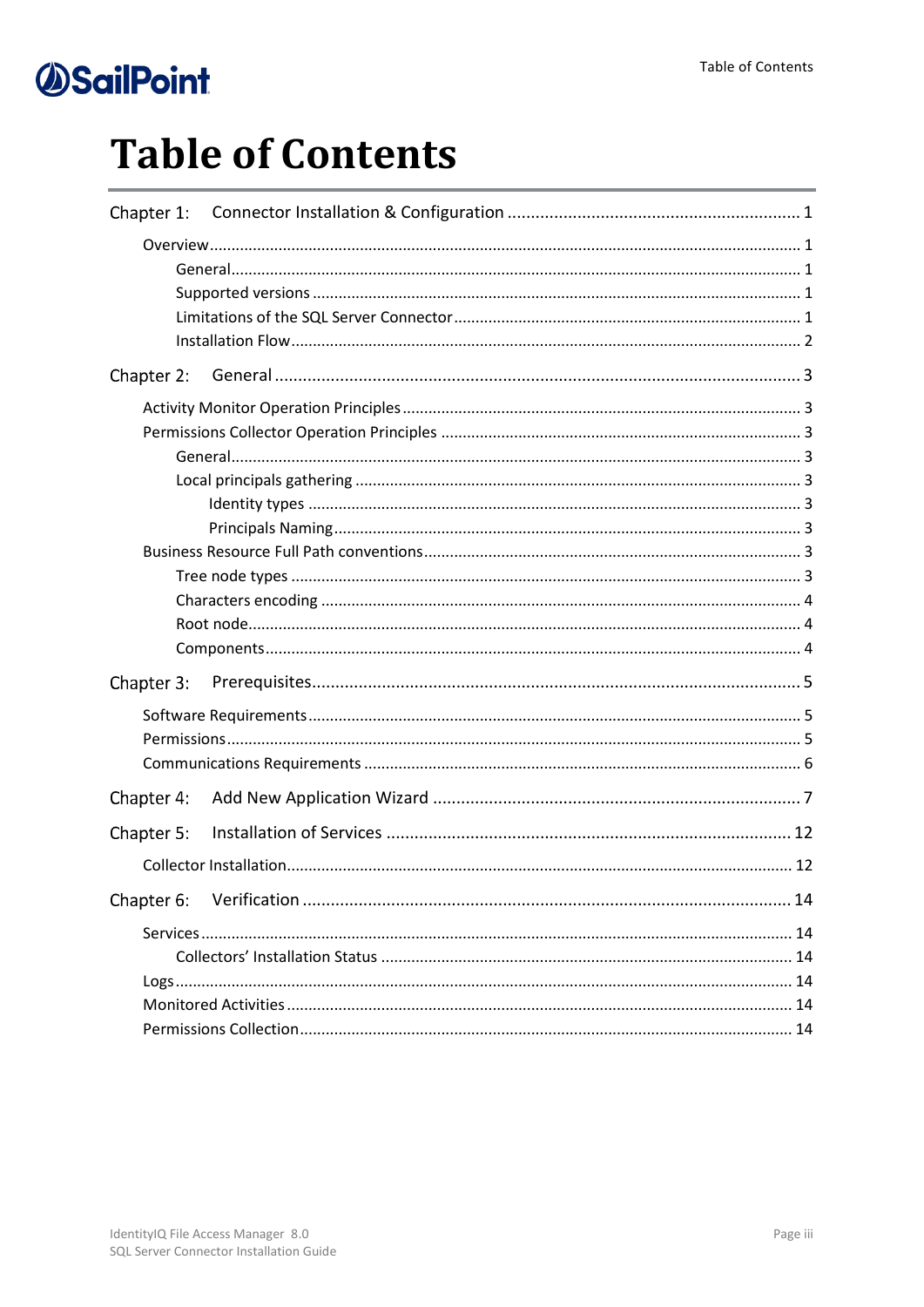# **Table of Contents**

| Chapter 1: |  |  |  |  |  |  |
|------------|--|--|--|--|--|--|
|            |  |  |  |  |  |  |
|            |  |  |  |  |  |  |
|            |  |  |  |  |  |  |
|            |  |  |  |  |  |  |
|            |  |  |  |  |  |  |
| Chapter 2: |  |  |  |  |  |  |
|            |  |  |  |  |  |  |
|            |  |  |  |  |  |  |
|            |  |  |  |  |  |  |
|            |  |  |  |  |  |  |
|            |  |  |  |  |  |  |
|            |  |  |  |  |  |  |
|            |  |  |  |  |  |  |
|            |  |  |  |  |  |  |
|            |  |  |  |  |  |  |
|            |  |  |  |  |  |  |
|            |  |  |  |  |  |  |
| Chapter 3: |  |  |  |  |  |  |
|            |  |  |  |  |  |  |
|            |  |  |  |  |  |  |
|            |  |  |  |  |  |  |
| Chapter 4: |  |  |  |  |  |  |
| Chapter 5: |  |  |  |  |  |  |
|            |  |  |  |  |  |  |
| Chapter 6: |  |  |  |  |  |  |
|            |  |  |  |  |  |  |
|            |  |  |  |  |  |  |
|            |  |  |  |  |  |  |
|            |  |  |  |  |  |  |
|            |  |  |  |  |  |  |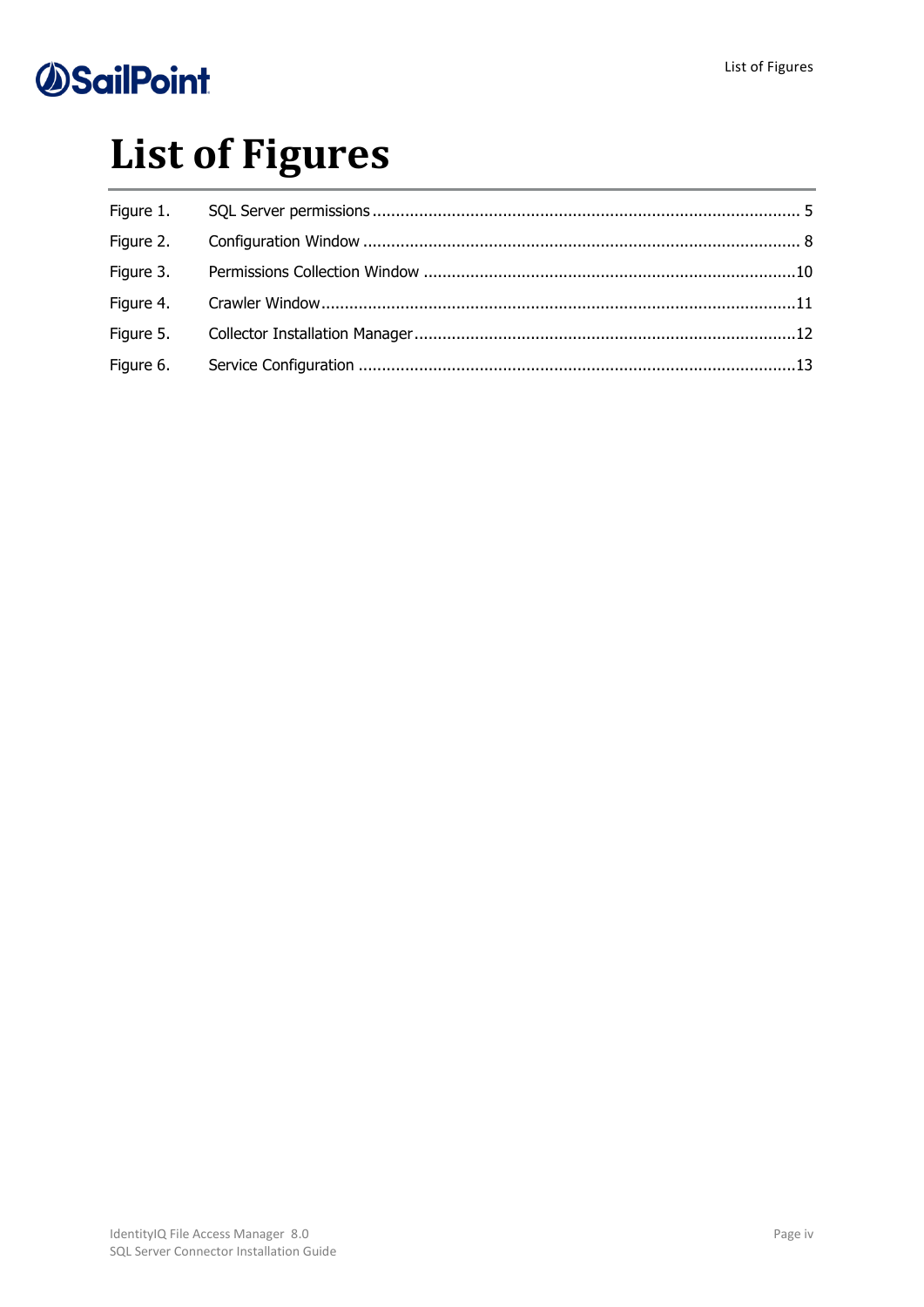# **List of Figures**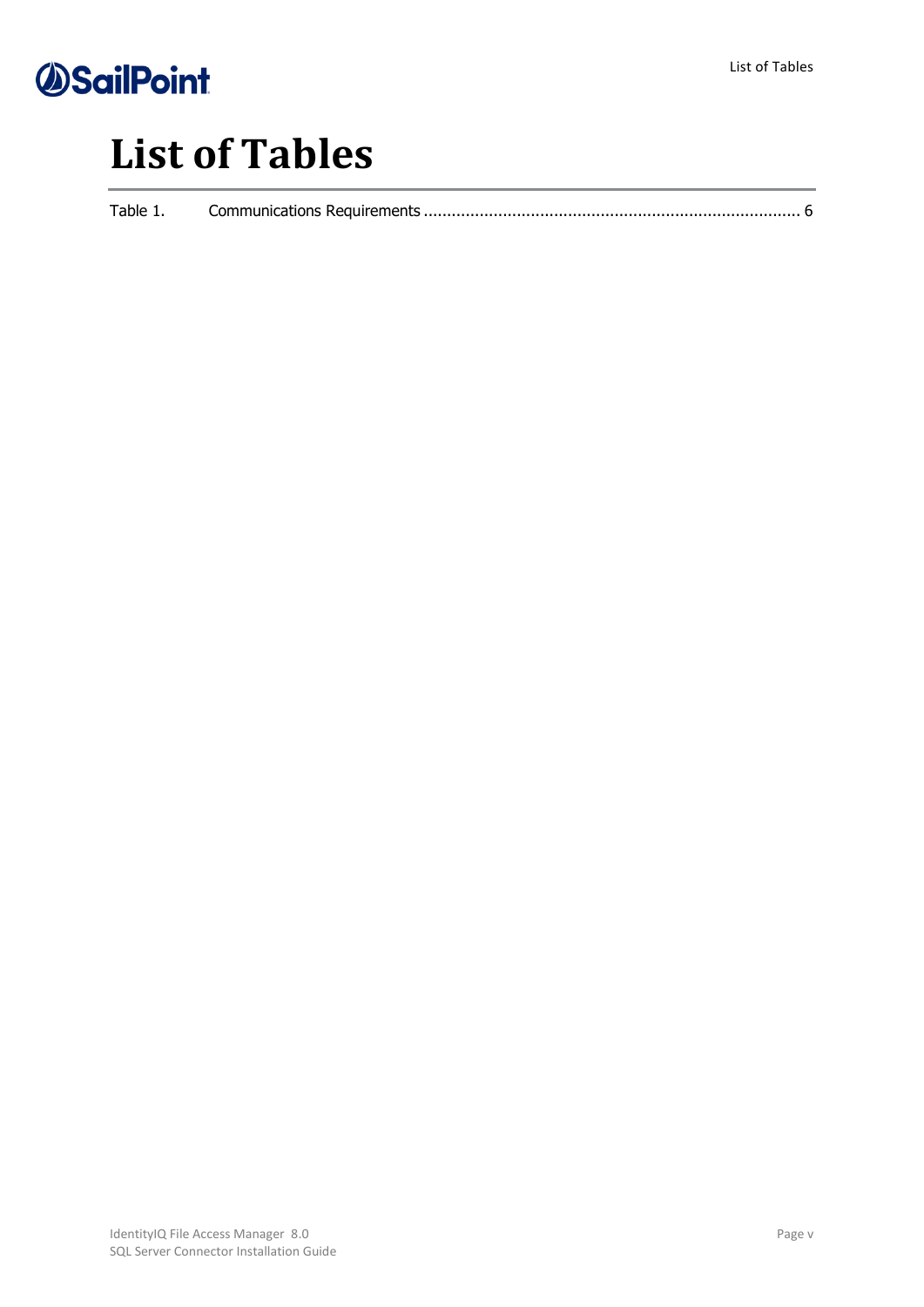

# **List of Tables**

| Table 1. |  |
|----------|--|
|          |  |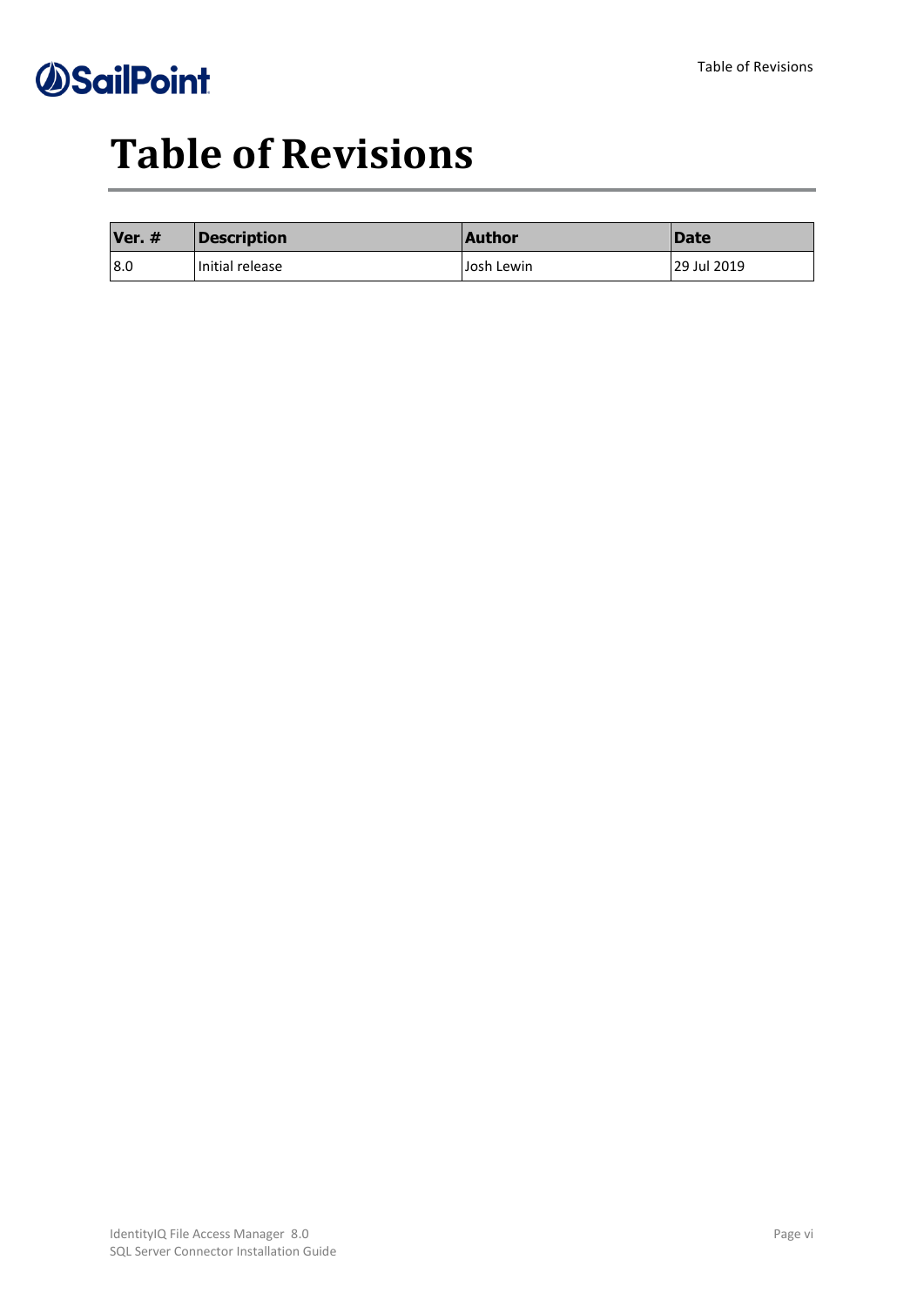# **Table of Revisions**

| Ver. # | Description     | <b>Author</b> | <b>IDate</b> |
|--------|-----------------|---------------|--------------|
| 8.0    | Initial release | Josh Lewin    | 29 Jul 2019  |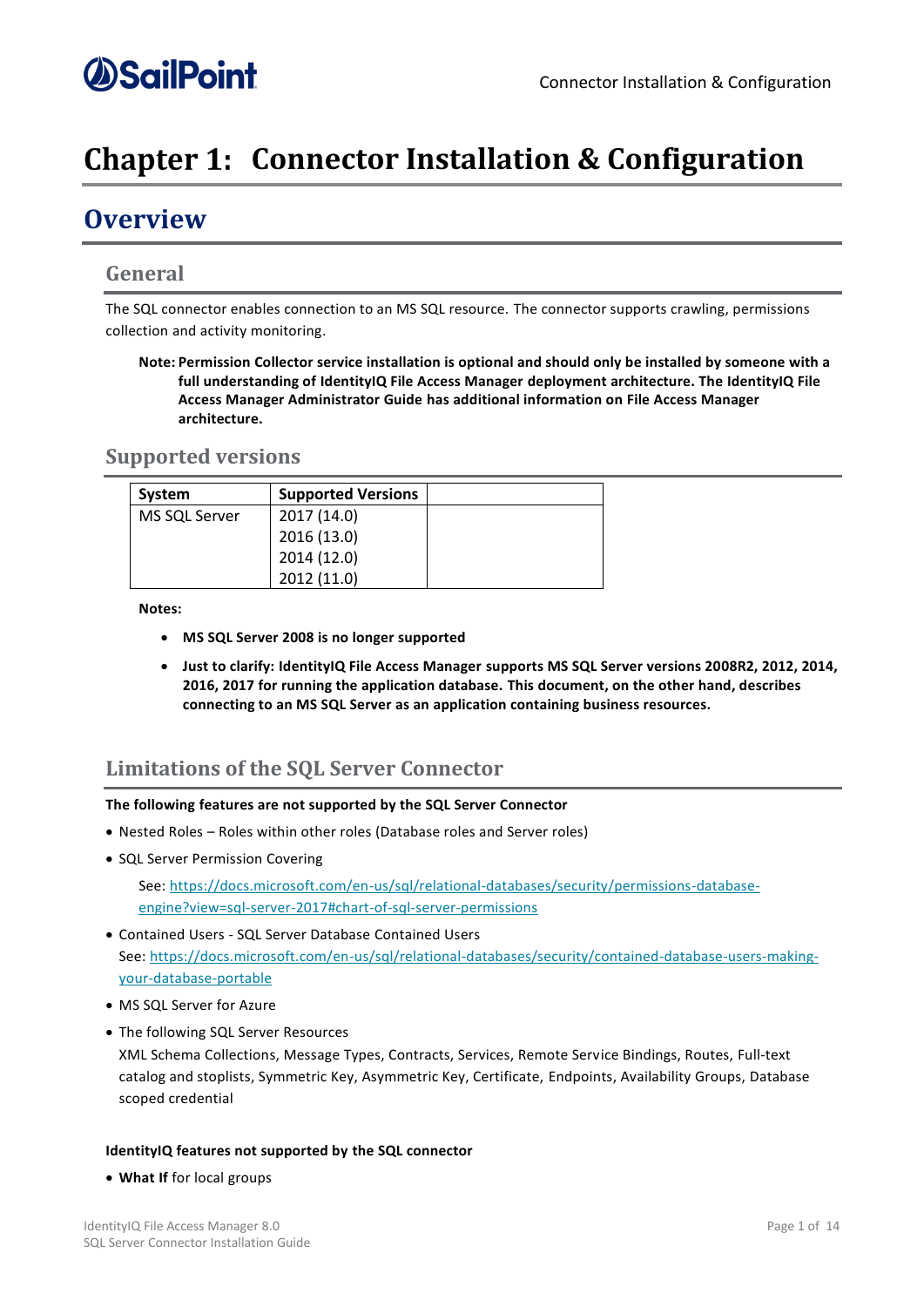## <span id="page-6-0"></span>**Chapter 1: Connector Installation & Configuration**

### <span id="page-6-1"></span>**Overview**

### <span id="page-6-2"></span>**General**

The SQL connector enables connection to an MS SQL resource. The connector supports crawling, permissions collection and activity monitoring.

**Note: Permission Collector service installation is optional and should only be installed by someone with a full understanding of IdentityIQ File Access Manager deployment architecture. The IdentityIQ File Access Manager Administrator Guide has additional information on File Access Manager architecture.**

### <span id="page-6-3"></span>**Supported versions**

| System        | <b>Supported Versions</b> |  |
|---------------|---------------------------|--|
| MS SQL Server | 2017 (14.0)               |  |
|               | 2016 (13.0)               |  |
|               | 2014 (12.0)               |  |
|               | 2012 (11.0)               |  |

**Notes:**

- **MS SQL Server 2008 is no longer supported**
- **Just to clarify: IdentityIQ File Access Manager supports MS SQL Server versions 2008R2, 2012, 2014, 2016, 2017 for running the application database. This document, on the other hand, describes connecting to an MS SQL Server as an application containing business resources.**

### <span id="page-6-4"></span>**Limitations of the SQL Server Connector**

### **The following features are not supported by the SQL Server Connector**

- Nested Roles Roles within other roles (Database roles and Server roles)
- SQL Server Permission Covering

See: [https://docs.microsoft.com/en-us/sql/relational-databases/security/permissions-database](https://docs.microsoft.com/en-us/sql/relational-databases/security/permissions-database-engine?view=sql-server-2017#chart-of-sql-server-permissions)[engine?view=sql-server-2017#chart-of-sql-server-permissions](https://docs.microsoft.com/en-us/sql/relational-databases/security/permissions-database-engine?view=sql-server-2017#chart-of-sql-server-permissions)

- Contained Users SQL Server Database Contained Users See[: https://docs.microsoft.com/en-us/sql/relational-databases/security/contained-database-users-making](https://docs.microsoft.com/en-us/sql/relational-databases/security/contained-database-users-making-your-database-portable)[your-database-portable](https://docs.microsoft.com/en-us/sql/relational-databases/security/contained-database-users-making-your-database-portable)
- MS SQL Server for Azure
- The following SQL Server Resources XML Schema Collections, Message Types, Contracts, Services, Remote Service Bindings, Routes, Full-text catalog and stoplists, Symmetric Key, Asymmetric Key, Certificate, Endpoints, Availability Groups, Database scoped credential

### **IdentityIQ features not supported by the SQL connector**

• **What If** for local groups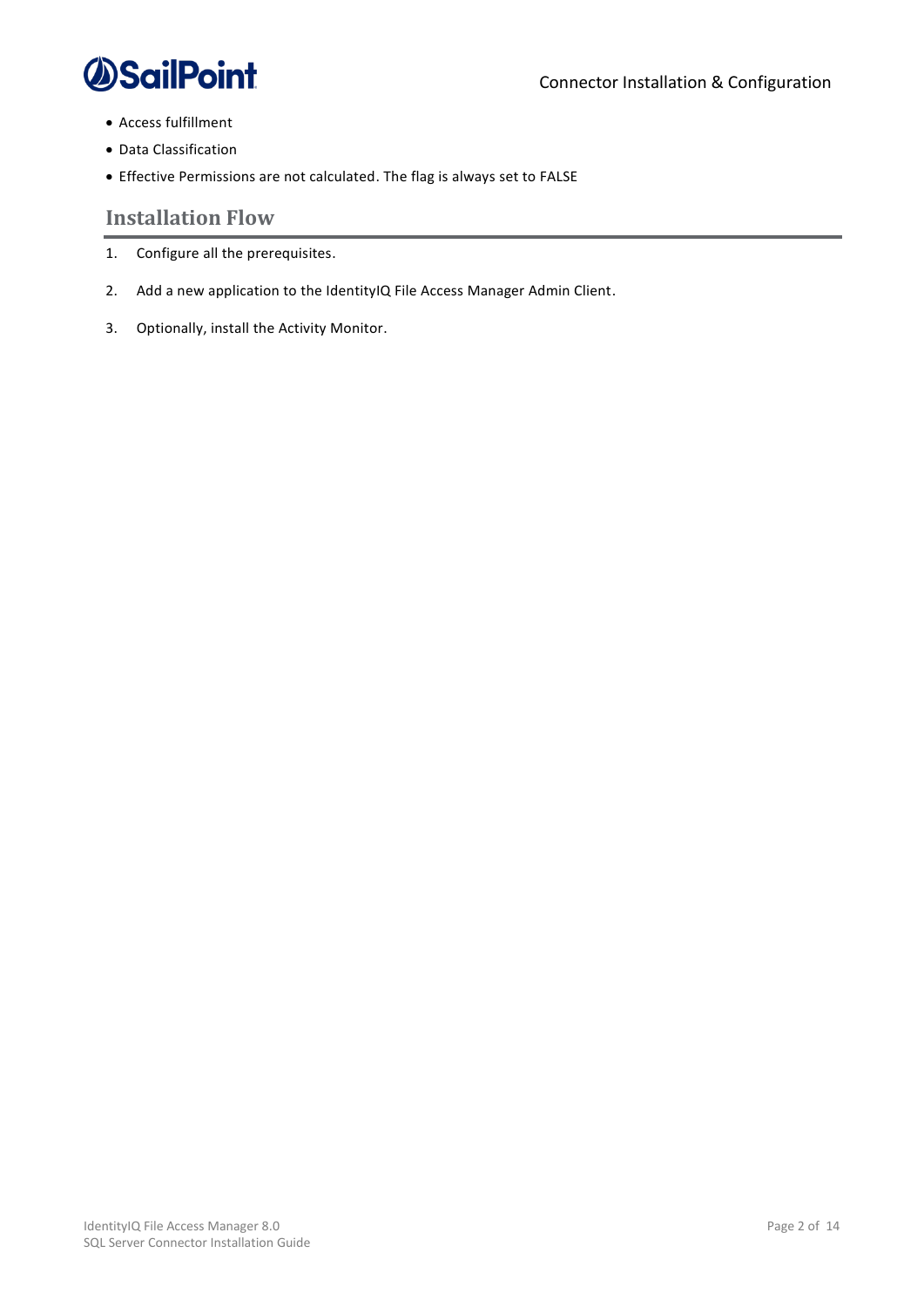

- Access fulfillment
- Data Classification
- Effective Permissions are not calculated. The flag is always set to FALSE

### <span id="page-7-0"></span>**Installation Flow**

- 1. Configure all the prerequisites.
- 2. Add a new application to the IdentityIQ File Access Manager Admin Client.
- 3. Optionally, install the Activity Monitor.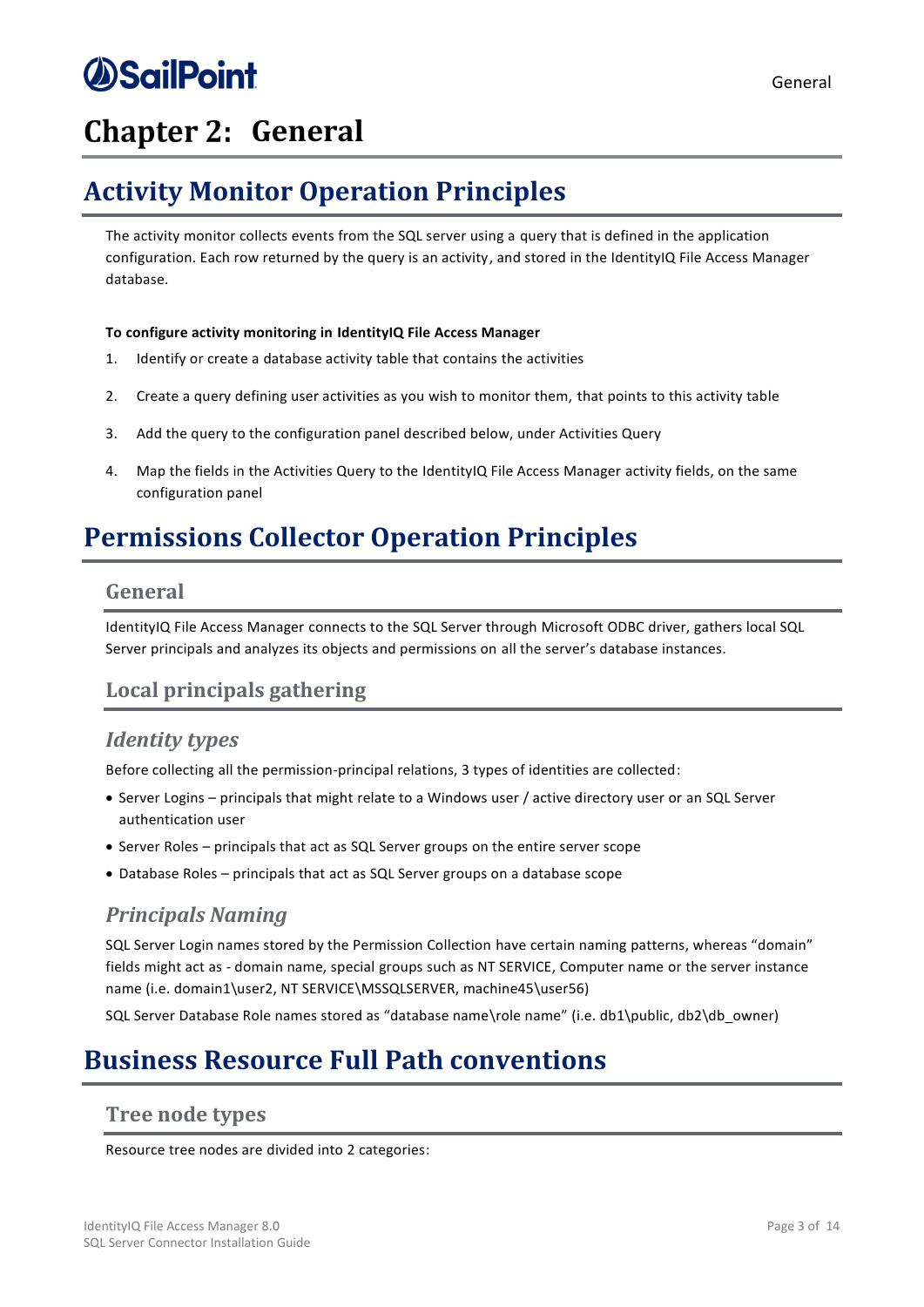# *<u>OSailPoint</u>*

## <span id="page-8-0"></span>**Chapter 2: General**

## <span id="page-8-1"></span>**Activity Monitor Operation Principles**

The activity monitor collects events from the SQL server using a query that is defined in the application configuration. Each row returned by the query is an activity, and stored in the IdentityIQ File Access Manager database.

### **To configure activity monitoring in IdentityIQ File Access Manager**

- 1. Identify or create a database activity table that contains the activities
- 2. Create a query defining user activities as you wish to monitor them, that points to this activity table
- 3. Add the query to the configuration panel described below, under Activities Query
- 4. Map the fields in the Activities Query to the IdentityIQ File Access Manager activity fields, on the same configuration panel

## <span id="page-8-2"></span>**Permissions Collector Operation Principles**

### <span id="page-8-3"></span>**General**

IdentityIQ File Access Manager connects to the SQL Server through Microsoft ODBC driver, gathers local SQL Server principals and analyzes its objects and permissions on all the server's database instances.

### <span id="page-8-4"></span>**Local principals gathering**

### <span id="page-8-5"></span>*Identity types*

Before collecting all the permission-principal relations, 3 types of identities are collected:

- Server Logins principals that might relate to a Windows user / active directory user or an SQL Server authentication user
- Server Roles principals that act as SQL Server groups on the entire server scope
- Database Roles principals that act as SQL Server groups on a database scope

### <span id="page-8-6"></span>*Principals Naming*

SQL Server Login names stored by the Permission Collection have certain naming patterns, whereas "domain" fields might act as - domain name, special groups such as NT SERVICE, Computer name or the server instance name (i.e. domain1\user2, NT SERVICE\MSSQLSERVER, machine45\user56)

SQL Server Database Role names stored as "database name\role name" (i.e. db1\public, db2\db\_owner)

## <span id="page-8-7"></span>**Business Resource Full Path conventions**

### <span id="page-8-8"></span>**Tree node types**

Resource tree nodes are divided into 2 categories: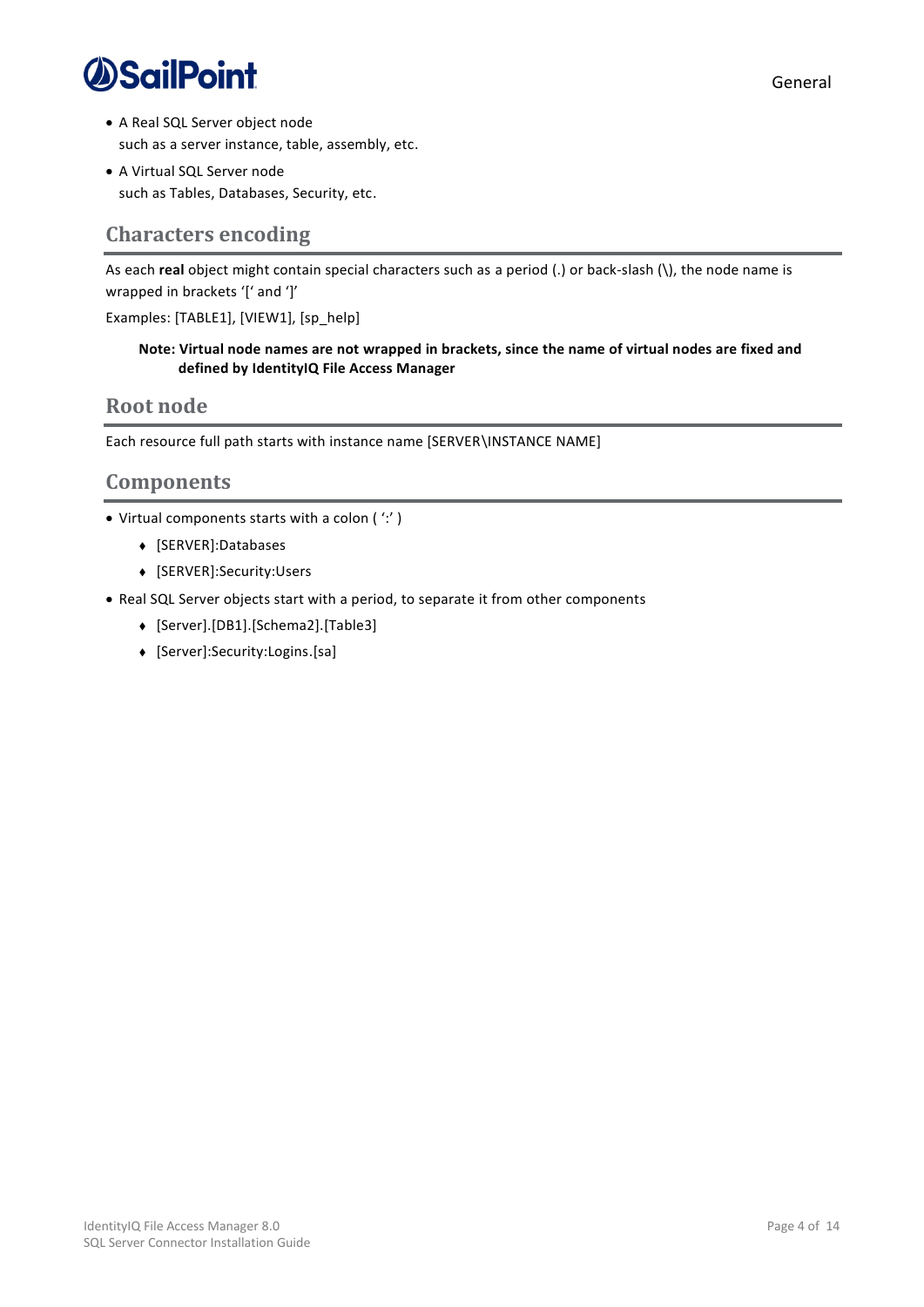

- A Real SQL Server object node such as a server instance, table, assembly, etc.
- A Virtual SQL Server node such as Tables, Databases, Security, etc.

### <span id="page-9-0"></span>**Characters encoding**

As each **real** object might contain special characters such as a period (.) or back-slash (\), the node name is wrapped in brackets '[' and ']'

Examples: [TABLE1], [VIEW1], [sp\_help]

### **Note: Virtual node names are not wrapped in brackets, since the name of virtual nodes are fixed and defined by IdentityIQ File Access Manager**

### <span id="page-9-1"></span>**Root node**

Each resource full path starts with instance name [SERVER\INSTANCE NAME]

### <span id="page-9-2"></span>**Components**

- Virtual components starts with a colon ( ':' )
	- <sup>⧫</sup> [SERVER]:Databases
	- <sup>⧫</sup> [SERVER]:Security:Users
- Real SQL Server objects start with a period, to separate it from other components
	- <sup>⧫</sup> [Server].[DB1].[Schema2].[Table3]
	- <sup>⧫</sup> [Server]:Security:Logins.[sa]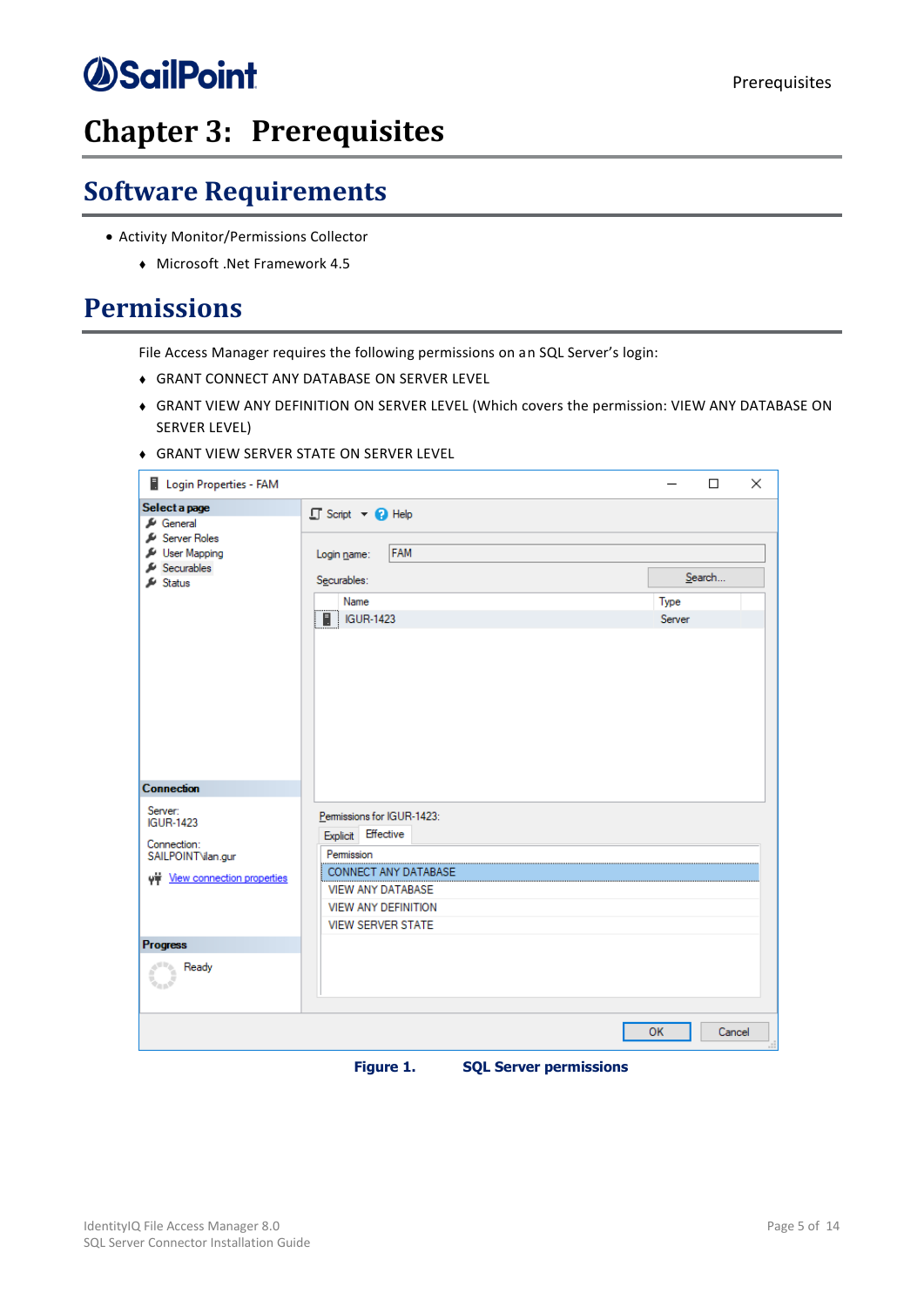## <span id="page-10-0"></span>**Chapter 3: Prerequisites**

## <span id="page-10-1"></span>**Software Requirements**

- Activity Monitor/Permissions Collector
	- <sup>⧫</sup> Microsoft .Net Framework 4.5

### <span id="page-10-2"></span>**Permissions**

File Access Manager requires the following permissions on an SQL Server's login:

- <sup>⧫</sup> GRANT CONNECT ANY DATABASE ON SERVER LEVEL
- <sup>⧫</sup> GRANT VIEW ANY DEFINITION ON SERVER LEVEL (Which covers the permission: VIEW ANY DATABASE ON SERVER LEVEL)
- <sup>⧫</sup> GRANT VIEW SERVER STATE ON SERVER LEVEL

| Login Properties - FAM                     |                                                  | ×<br>$\Box$  |  |
|--------------------------------------------|--------------------------------------------------|--------------|--|
| Select a page<br>General                   | □ Script ▼ ● Help                                |              |  |
| Server Roles<br>User Mapping<br>Securables | <b>FAM</b><br>Login name:<br>Securables:         | Search       |  |
| Status                                     | Name                                             | Type         |  |
|                                            | $\Box$ IGUR-1423                                 | Server       |  |
|                                            |                                                  |              |  |
| <b>Connection</b>                          |                                                  |              |  |
| Server:<br><b>IGUR-1423</b>                | Permissions for IGUR-1423:<br>Explicit Effective |              |  |
| Connection:<br>SAILPOINT\ilan.gur          | Permission                                       |              |  |
| with View connection properties            | CONNECT ANY DATABASE<br><b>VIEW ANY DATABASE</b> |              |  |
|                                            | <b>VIEW ANY DEFINITION</b>                       |              |  |
|                                            | <b>VIEW SERVER STATE</b>                         |              |  |
| <b>Progress</b>                            |                                                  |              |  |
| Ready                                      |                                                  |              |  |
|                                            |                                                  | Cancel<br>OK |  |

<span id="page-10-3"></span>

**Figure 1. SQL Server permissions**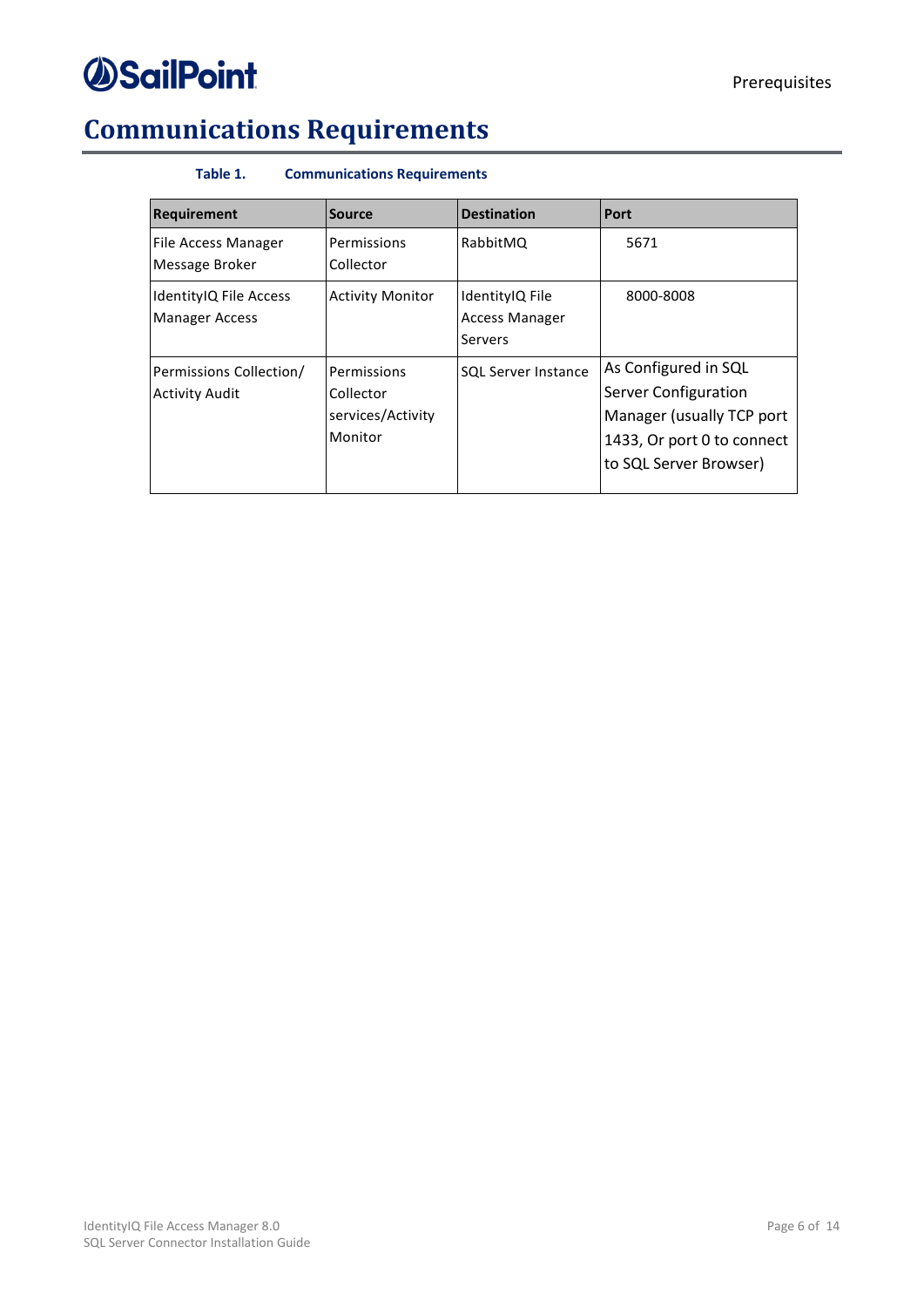

## <span id="page-11-1"></span><span id="page-11-0"></span>**Communications Requirements**

### **Table 1. Communications Requirements**

| <b>Requirement</b>                               | <b>Source</b>                                            | <b>Destination</b>                                  | <b>Port</b>                                                                                                                       |
|--------------------------------------------------|----------------------------------------------------------|-----------------------------------------------------|-----------------------------------------------------------------------------------------------------------------------------------|
| <b>File Access Manager</b><br>Message Broker     | Permissions<br>Collector                                 | RabbitMQ                                            | 5671                                                                                                                              |
| IdentityIQ File Access<br><b>Manager Access</b>  | <b>Activity Monitor</b>                                  | IdentityIQ File<br><b>Access Manager</b><br>Servers | 8000-8008                                                                                                                         |
| Permissions Collection/<br><b>Activity Audit</b> | Permissions<br>Collector<br>services/Activity<br>Monitor | <b>SQL Server Instance</b>                          | As Configured in SQL<br>Server Configuration<br>Manager (usually TCP port<br>1433, Or port 0 to connect<br>to SQL Server Browser) |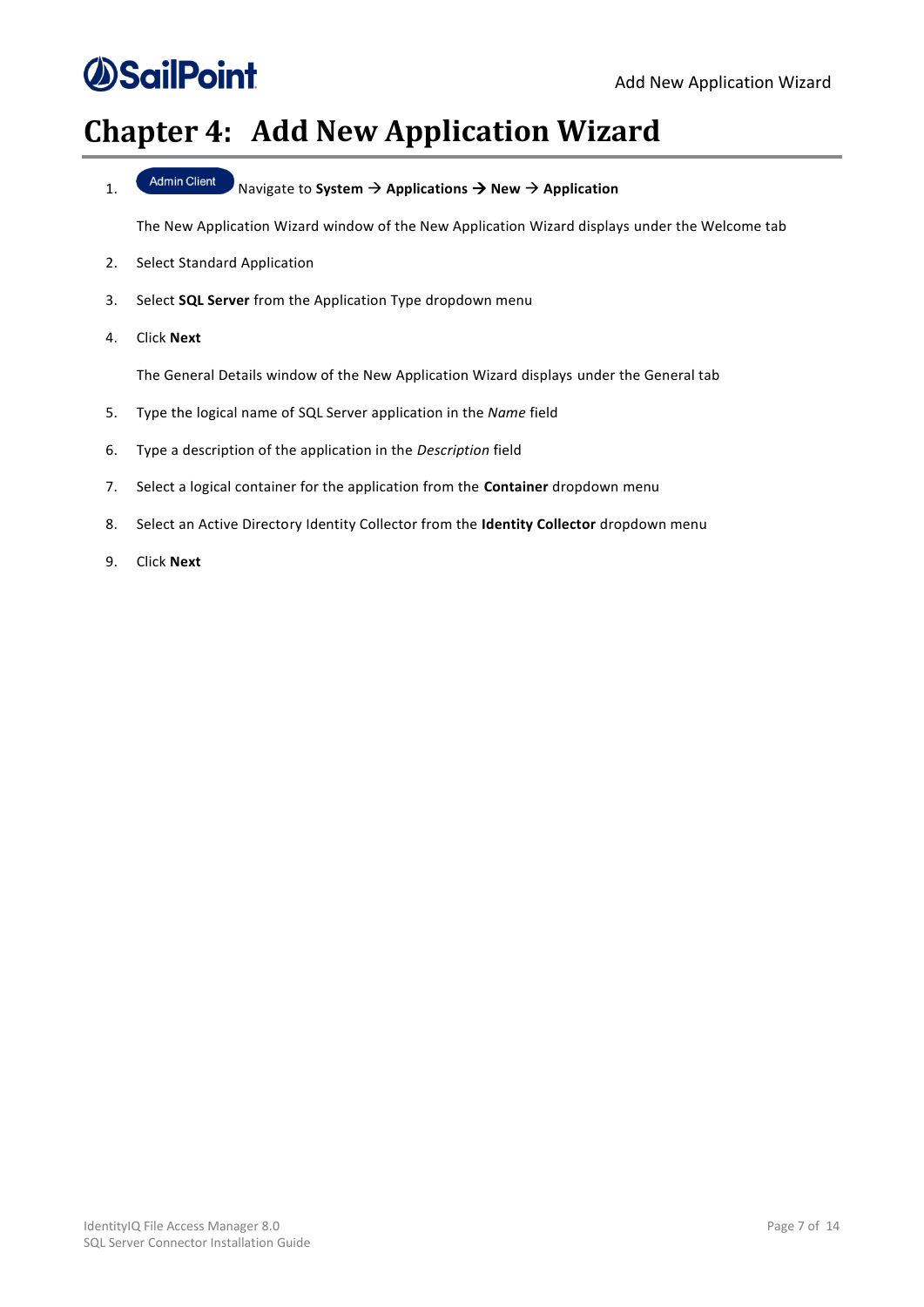## <span id="page-12-0"></span>**Chapter 4: Add New Application Wizard**

1. Navigate to **System** → **Applications** → **New** → **Application**

The New Application Wizard window of the New Application Wizard displays under the Welcome tab

- 2. Select Standard Application
- 3. Select **SQL Server** from the Application Type dropdown menu
- 4. Click **Next**

The General Details window of the New Application Wizard displays under the General tab

- 5. Type the logical name of SQL Server application in the *Name* field
- 6. Type a description of the application in the *Description* field
- 7. Select a logical container for the application from the **Container** dropdown menu
- 8. Select an Active Directory Identity Collector from the **Identity Collector** dropdown menu
- 9. Click **Next**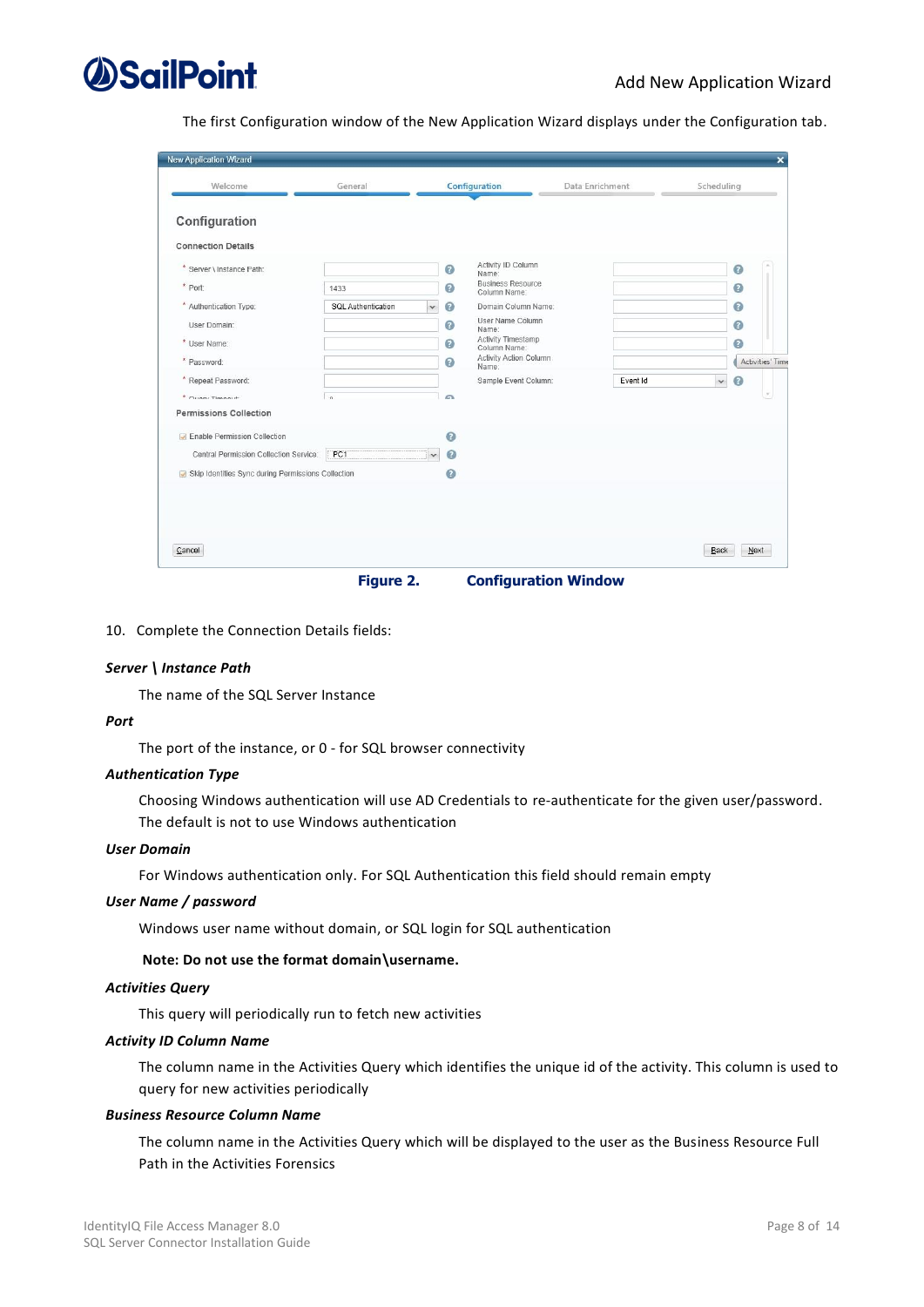

The first Configuration window of the New Application Wizard displays under the Configuration tab.

| <b>New Application Wizard</b>                                                                                                                                                                                                              |                                                               |                                                                 |                                                                                                                                                                                                                                     |                 |              | $\overline{\mathbf{x}}$                                                           |
|--------------------------------------------------------------------------------------------------------------------------------------------------------------------------------------------------------------------------------------------|---------------------------------------------------------------|-----------------------------------------------------------------|-------------------------------------------------------------------------------------------------------------------------------------------------------------------------------------------------------------------------------------|-----------------|--------------|-----------------------------------------------------------------------------------|
| Welcome                                                                                                                                                                                                                                    | General                                                       |                                                                 | Configuration                                                                                                                                                                                                                       | Data Enrichment | Scheduling   |                                                                                   |
| Configuration<br><b>Connection Details</b><br>* Server \ Instance Path:<br>* Port:<br>* Authentication Type:<br>User Domain:<br>* User Name:<br>* Password:<br>* Repeat Password:<br>$*$ Outani Timesaid:<br><b>Permissions Collection</b> | 1433<br><b>SQL Authentication</b><br>$\overline{\phantom{a}}$ | Ø<br>$\bullet$<br>Ø<br>$\checkmark$<br>Ø<br>Ø<br>$\bullet$<br>c | Activity ID Column<br>Name:<br><b>Business Resource</b><br>Column Name:<br>Domain Column Name:<br>User Name Column<br>Name:<br>Activity Timestamp<br>Column Name:<br><b>Activity Action Column</b><br>Name:<br>Sample Event Column: | Event Id        | $\checkmark$ | $\circ$<br>$\circ$<br>$\bullet$<br>$\Omega$<br>$\bullet$<br>Activities' Time<br>Q |
| <b>D</b> Enable Permission Collection<br>Central Permission Collection Service:                                                                                                                                                            | PC1                                                           | $\bullet$<br>$\bullet$                                          |                                                                                                                                                                                                                                     |                 |              |                                                                                   |
| Skip Identities Sync during Permissions Collection                                                                                                                                                                                         |                                                               | $\circ$                                                         |                                                                                                                                                                                                                                     |                 |              |                                                                                   |
| Cancel                                                                                                                                                                                                                                     |                                                               |                                                                 |                                                                                                                                                                                                                                     |                 | Back         | Next                                                                              |

**Figure 2. Configuration Window**

<span id="page-13-0"></span>10. Complete the Connection Details fields:

#### *Server \ Instance Path*

The name of the SQL Server Instance

#### *Port*

The port of the instance, or 0 - for SQL browser connectivity

### *Authentication Type*

Choosing Windows authentication will use AD Credentials to re-authenticate for the given user/password. The default is not to use Windows authentication

#### *User Domain*

For Windows authentication only. For SQL Authentication this field should remain empty

#### *User Name / password*

Windows user name without domain, or SQL login for SQL authentication

### **Note: Do not use the format domain\username.**

#### *Activities Query*

This query will periodically run to fetch new activities

#### *Activity ID Column Name*

The column name in the Activities Query which identifies the unique id of the activity. This column is used to query for new activities periodically

#### *Business Resource Column Name*

The column name in the Activities Query which will be displayed to the user as the Business Resource Full Path in the Activities Forensics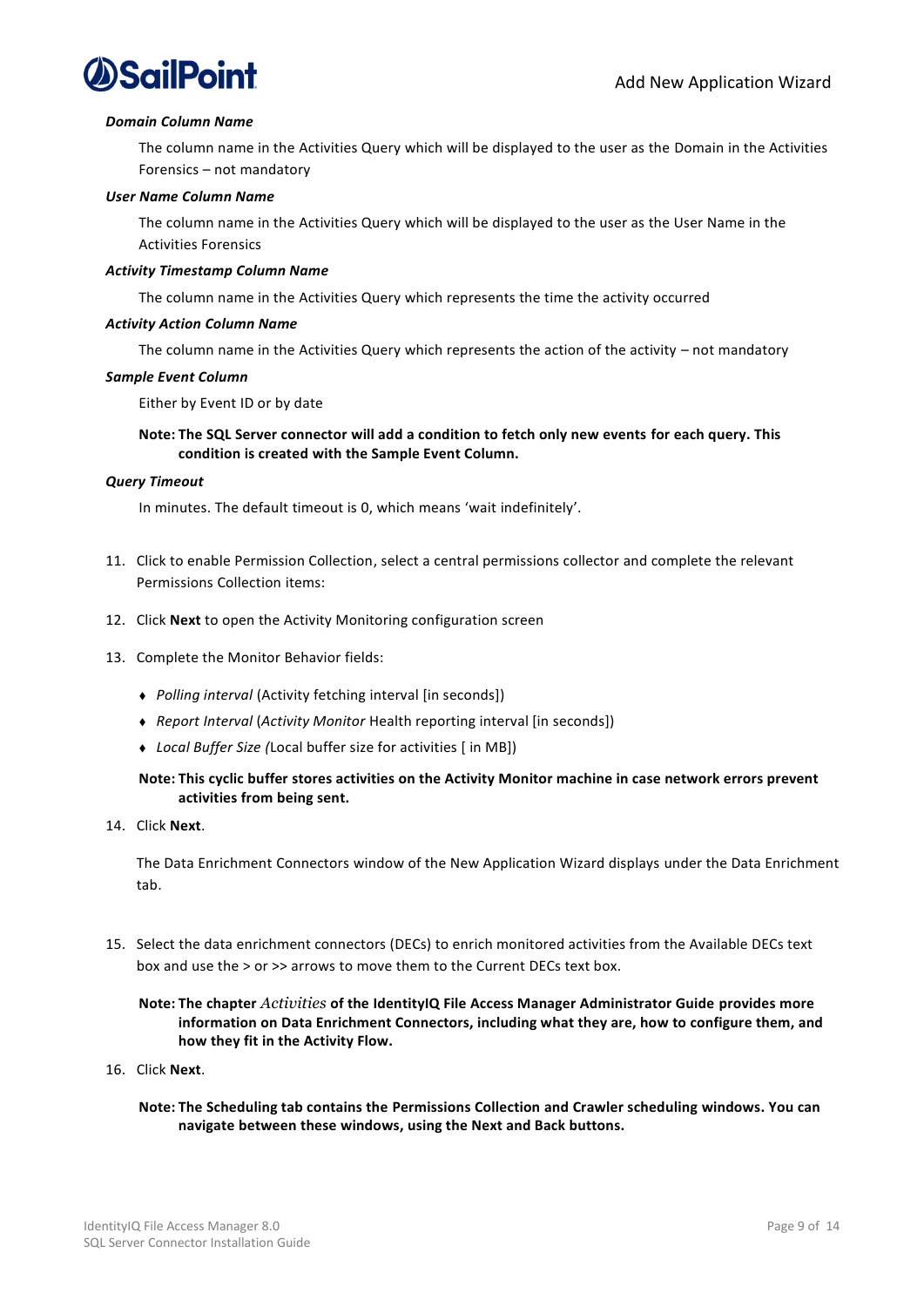

#### *Domain Column Name*

The column name in the Activities Query which will be displayed to the user as the Domain in the Activities Forensics – not mandatory

#### *User Name Column Name*

The column name in the Activities Query which will be displayed to the user as the User Name in the Activities Forensics

#### *Activity Timestamp Column Name*

The column name in the Activities Query which represents the time the activity occurred

#### *Activity Action Column Name*

The column name in the Activities Query which represents the action of the activity – not mandatory

#### *Sample Event Column*

Either by Event ID or by date

#### **Note: The SQL Server connector will add a condition to fetch only new events for each query. This condition is created with the Sample Event Column.**

#### *Query Timeout*

In minutes. The default timeout is 0, which means 'wait indefinitely'.

- 11. Click to enable Permission Collection, select a central permissions collector and complete the relevant Permissions Collection items:
- 12. Click **Next** to open the Activity Monitoring configuration screen
- 13. Complete the Monitor Behavior fields:
	- <sup>⧫</sup> *Polling interval* (Activity fetching interval [in seconds])
	- <sup>⧫</sup> *Report Interval* (*Activity Monitor* Health reporting interval [in seconds])
	- <sup>⧫</sup> *Local Buffer Size (*Local buffer size for activities [ in MB])

### **Note: This cyclic buffer stores activities on the Activity Monitor machine in case network errors prevent activities from being sent.**

14. Click **Next**.

The Data Enrichment Connectors window of the New Application Wizard displays under the Data Enrichment tab.

15. Select the data enrichment connectors (DECs) to enrich monitored activities from the Available DECs text box and use the > or >> arrows to move them to the Current DECs text box.

### **Note: The chapter** *Activities* **of the IdentityIQ File Access Manager Administrator Guide provides more information on Data Enrichment Connectors, including what they are, how to configure them, and how they fit in the Activity Flow.**

- 16. Click **Next**.
	- **Note: The Scheduling tab contains the Permissions Collection and Crawler scheduling windows. You can navigate between these windows, using the Next and Back buttons.**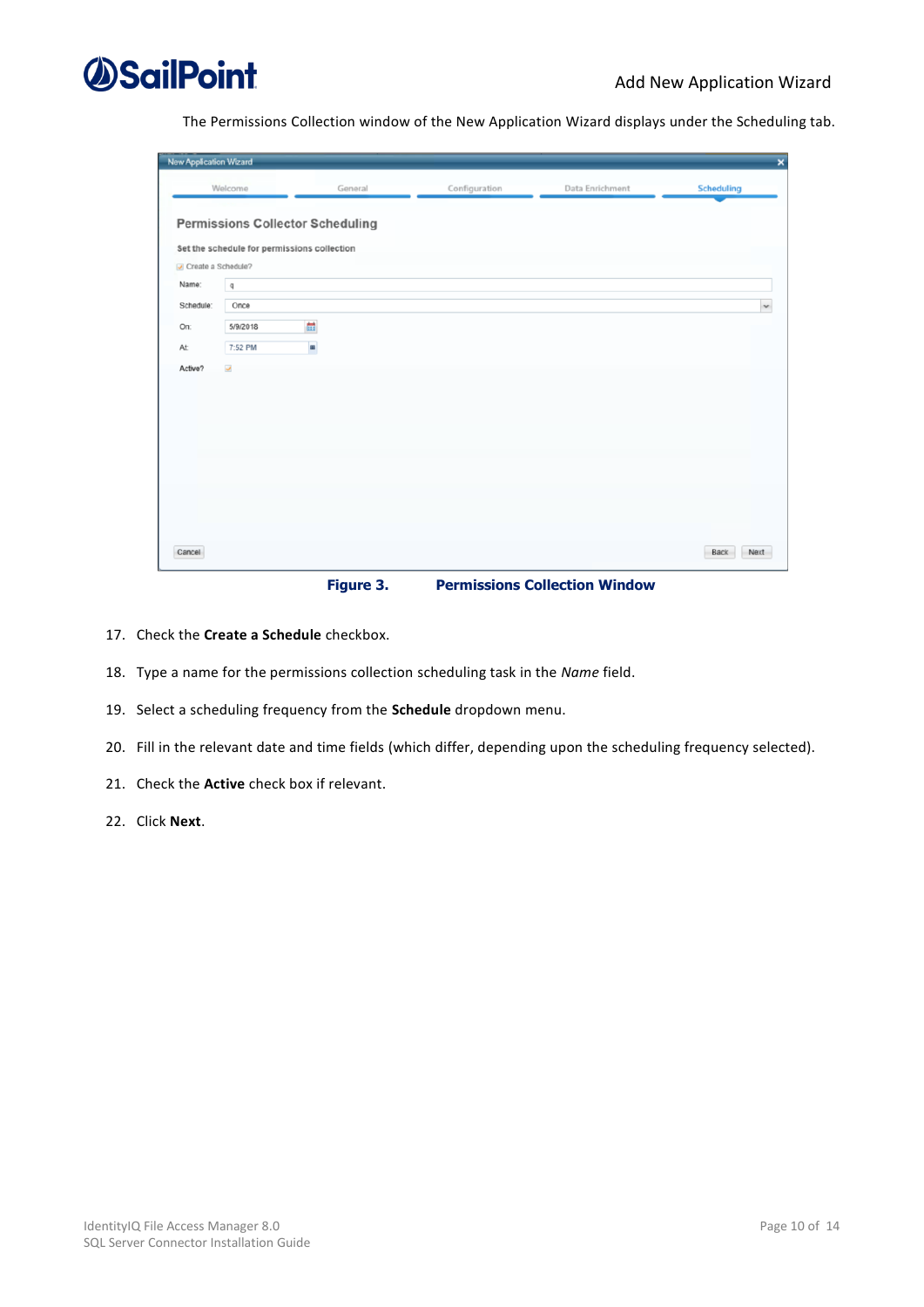

The Permissions Collection window of the New Application Wizard displays under the Scheduling tab.

| <b>New Application Wizard</b> |                          |                                                                                        |               |                 | $\boldsymbol{\mathsf{x}}$ |
|-------------------------------|--------------------------|----------------------------------------------------------------------------------------|---------------|-----------------|---------------------------|
|                               | Welcome                  | General                                                                                | Configuration | Data Enrichment | <b>Scheduling</b>         |
|                               |                          | <b>Permissions Collector Scheduling</b><br>Set the schedule for permissions collection |               |                 |                           |
| Create a Schedule?<br>Name:   | $\tt q$                  |                                                                                        |               |                 |                           |
| Schedule:                     | Once                     |                                                                                        |               |                 | $\checkmark$              |
| On:                           | 5/9/2018                 | ä                                                                                      |               |                 |                           |
| At:                           | 7:52 PM                  | ×                                                                                      |               |                 |                           |
| Active?                       | $\overline{\mathcal{L}}$ |                                                                                        |               |                 |                           |
| Cancel                        |                          |                                                                                        |               |                 | Back<br>Next              |

**Figure 3. Permissions Collection Window**

- <span id="page-15-0"></span>17. Check the **Create a Schedule** checkbox.
- 18. Type a name for the permissions collection scheduling task in the *Name* field.
- 19. Select a scheduling frequency from the **Schedule** dropdown menu.
- 20. Fill in the relevant date and time fields (which differ, depending upon the scheduling frequency selected).
- 21. Check the **Active** check box if relevant.
- 22. Click **Next**.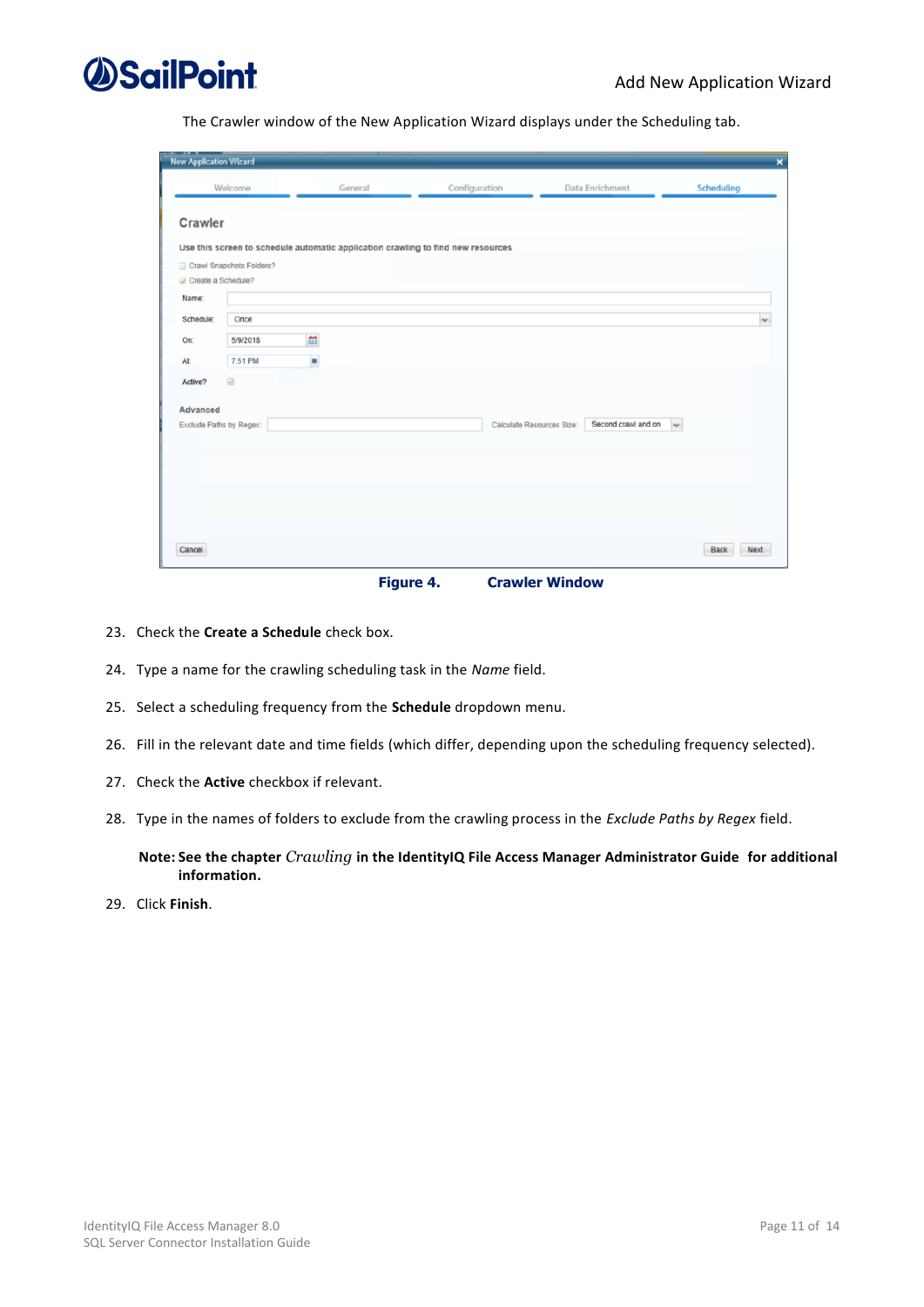

The Crawler window of the New Application Wizard displays under the Scheduling tab.

| <b>New Application Wizard</b> |                          |                                                                                  |                           |                     | $\pmb{\times}$    |
|-------------------------------|--------------------------|----------------------------------------------------------------------------------|---------------------------|---------------------|-------------------|
|                               | Welcome                  | General                                                                          | Configuration             | Data Enrichment     | <b>Scheduling</b> |
| Crawler                       |                          |                                                                                  |                           |                     |                   |
|                               |                          | Use this screen to schedule automatic application crawling to find new resources |                           |                     |                   |
|                               | Crawl Snapshots Folders? |                                                                                  |                           |                     |                   |
| Create a Schedule?            |                          |                                                                                  |                           |                     |                   |
| Name:                         |                          |                                                                                  |                           |                     |                   |
| Schedule:                     | Once                     |                                                                                  |                           |                     | $\checkmark$      |
| On:                           | 5/9/2018                 | 曲                                                                                |                           |                     |                   |
| At:                           | 7:51 PM                  |                                                                                  |                           |                     |                   |
|                               |                          | п                                                                                |                           |                     |                   |
| Active?                       | $\overline{\mathcal{L}}$ |                                                                                  |                           |                     |                   |
| Advanced                      |                          |                                                                                  |                           |                     |                   |
|                               | Exclude Paths by Regex:  |                                                                                  | Calculate Resources Size: | Second crawl and on | $\sim$            |
|                               |                          |                                                                                  |                           |                     |                   |
|                               |                          |                                                                                  |                           |                     |                   |
|                               |                          |                                                                                  |                           |                     |                   |
|                               |                          |                                                                                  |                           |                     |                   |
|                               |                          |                                                                                  |                           |                     |                   |
|                               |                          |                                                                                  |                           |                     |                   |
| Cancel                        |                          |                                                                                  |                           |                     | Next<br>Back      |

**Figure 4. Crawler Window**

- <span id="page-16-0"></span>23. Check the **Create a Schedule** check box.
- 24. Type a name for the crawling scheduling task in the *Name* field.
- 25. Select a scheduling frequency from the **Schedule** dropdown menu.
- 26. Fill in the relevant date and time fields (which differ, depending upon the scheduling frequency selected).
- 27. Check the **Active** checkbox if relevant.
- 28. Type in the names of folders to exclude from the crawling process in the *Exclude Paths by Regex* field.

**Note: See the chapter** *Crawling* **in the IdentityIQ File Access Manager Administrator Guide for additional information.**

29. Click **Finish**.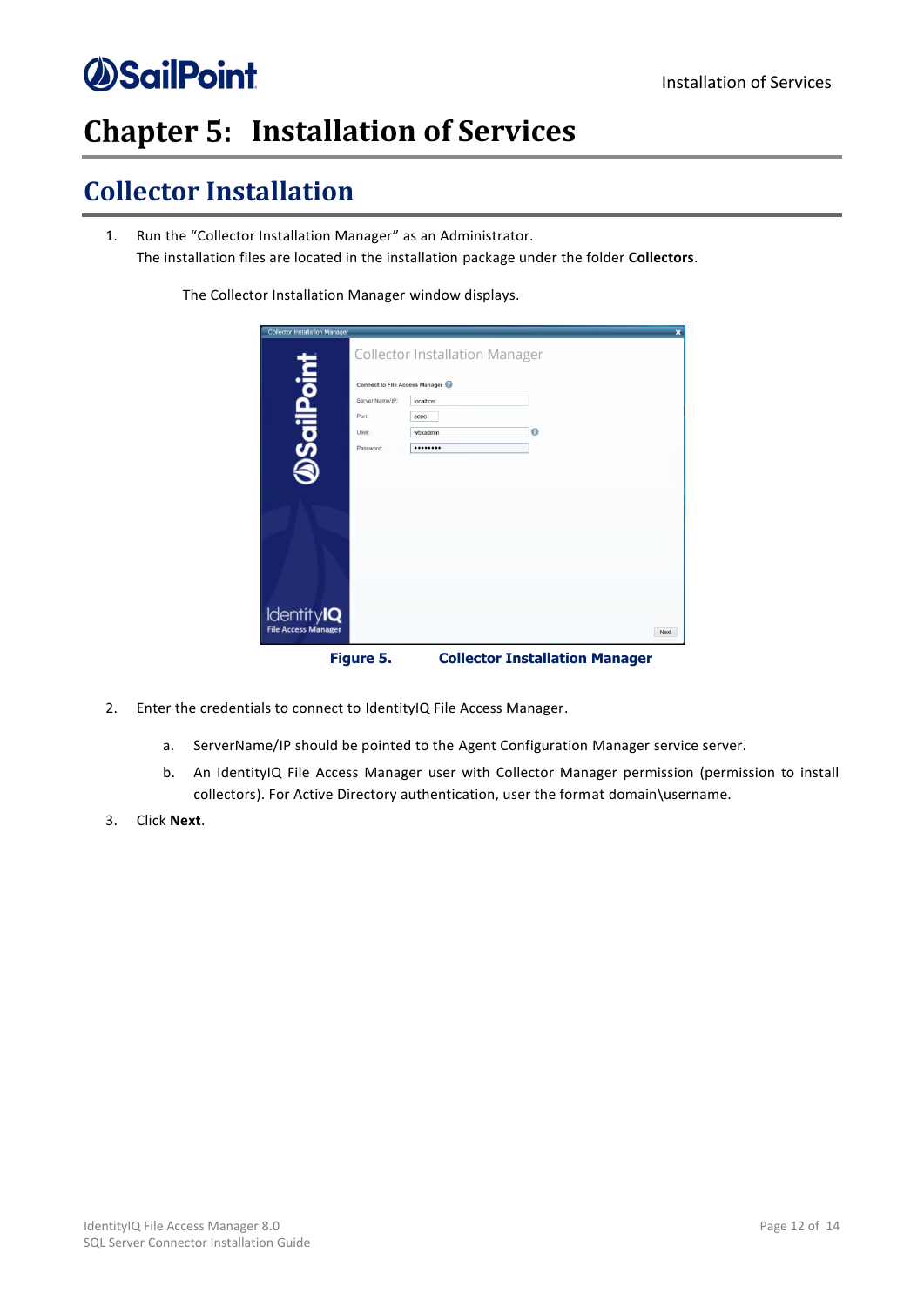## <span id="page-17-0"></span>**Chapter 5: Installation of Services**

## <span id="page-17-1"></span>**Collector Installation**

1. Run the "Collector Installation Manager" as an Administrator. The installation files are located in the installation package under the folder **Collectors**.

The Collector Installation Manager window displays.

| <b>Collector Installation Manager</b>           |                                                                                        |                                       |                                       | $\overline{\mathbf{x}}$ |
|-------------------------------------------------|----------------------------------------------------------------------------------------|---------------------------------------|---------------------------------------|-------------------------|
|                                                 |                                                                                        | <b>Collector Installation Manager</b> |                                       |                         |
| <b>DSailPoint</b>                               | <b>Connect to File Access Manager</b><br>Server Name/IP:<br>Port<br>User:<br>Password: | localhost<br>8000<br>wbxadmin<br>     | $\odot$                               |                         |
|                                                 |                                                                                        |                                       |                                       |                         |
|                                                 |                                                                                        |                                       |                                       |                         |
| <b>IdentityIQ</b><br><b>File Access Manager</b> |                                                                                        |                                       |                                       | Next                    |
|                                                 | Figure 5.                                                                              |                                       | <b>Collector Installation Manager</b> |                         |

- <span id="page-17-2"></span>2. Enter the credentials to connect to IdentityIQ File Access Manager.
	- a. ServerName/IP should be pointed to the Agent Configuration Manager service server.
	- b. An IdentityIQ File Access Manager user with Collector Manager permission (permission to install collectors). For Active Directory authentication, user the format domain\username.
- 3. Click **Next**.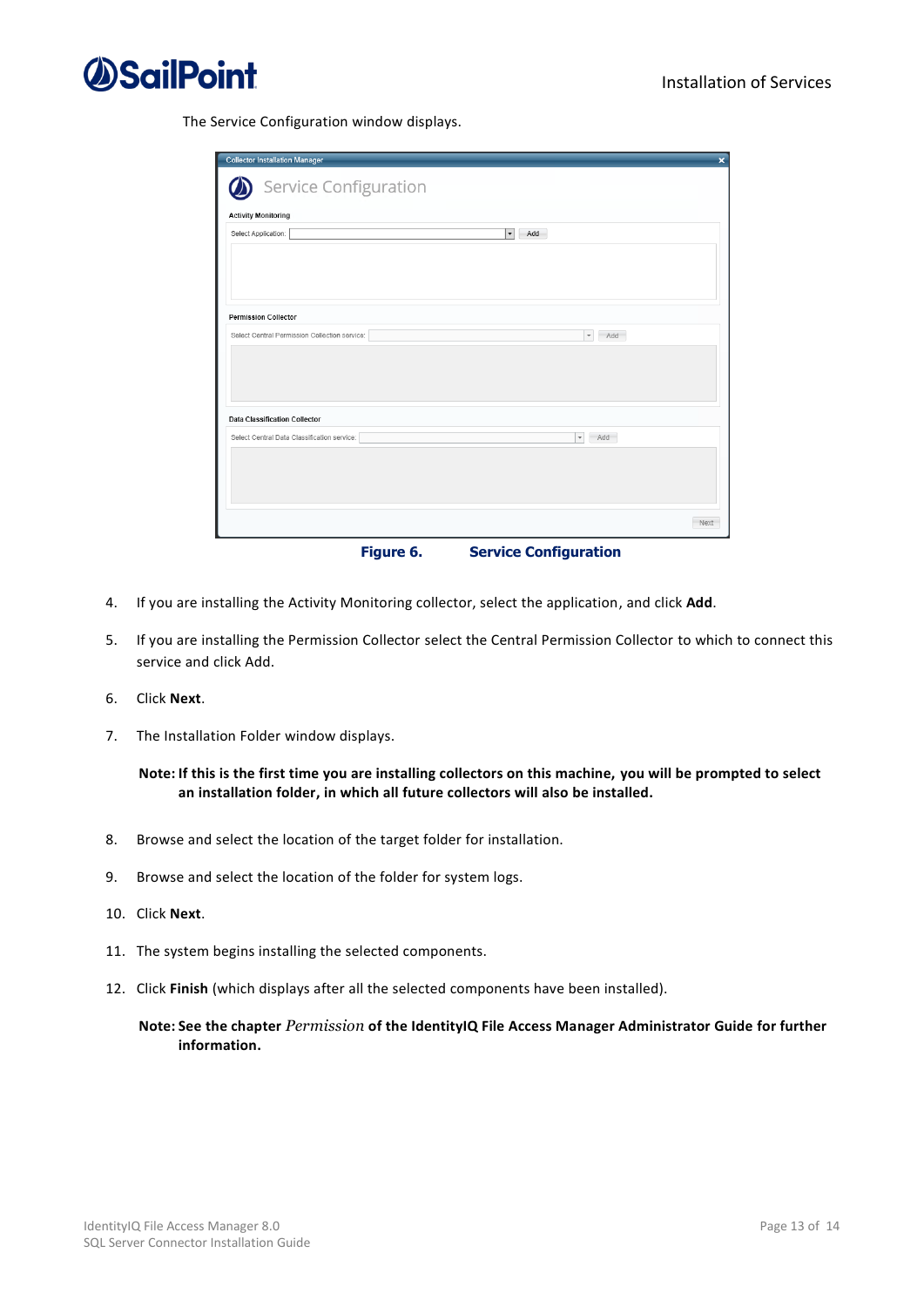

The Service Configuration window displays.

| <b>Collector Installation Manager</b>         |           | $\overline{\mathbf{x}}$         |
|-----------------------------------------------|-----------|---------------------------------|
| Service Configuration                         |           |                                 |
| <b>Activity Monitoring</b>                    |           |                                 |
| Select Application:                           |           | $\mathbf{r}$<br>Add             |
|                                               |           |                                 |
|                                               |           |                                 |
|                                               |           |                                 |
|                                               |           |                                 |
| <b>Permission Collector</b>                   |           |                                 |
| Select Central Permission Collection service: |           | $\overline{\phantom{a}}$<br>Add |
|                                               |           |                                 |
|                                               |           |                                 |
|                                               |           |                                 |
|                                               |           |                                 |
| <b>Data Classification Collector</b>          |           |                                 |
| Select Central Data Classification service:   |           | $\overline{\phantom{a}}$<br>Add |
|                                               |           |                                 |
|                                               |           |                                 |
|                                               |           |                                 |
|                                               |           |                                 |
|                                               |           | Next                            |
|                                               | Figure 6. | <b>Service Configuration</b>    |

- <span id="page-18-0"></span>4. If you are installing the Activity Monitoring collector, select the application, and click **Add**.
- 5. If you are installing the Permission Collector select the Central Permission Collector to which to connect this service and click Add.
- 6. Click **Next**.
- 7. The Installation Folder window displays.

### **Note: If this is the first time you are installing collectors on this machine, you will be prompted to select an installation folder, in which all future collectors will also be installed.**

- 8. Browse and select the location of the target folder for installation.
- 9. Browse and select the location of the folder for system logs.
- 10. Click **Next**.
- 11. The system begins installing the selected components.
- 12. Click **Finish** (which displays after all the selected components have been installed).

### **Note: See the chapter** *Permission* **of the IdentityIQ File Access Manager Administrator Guide for further information.**